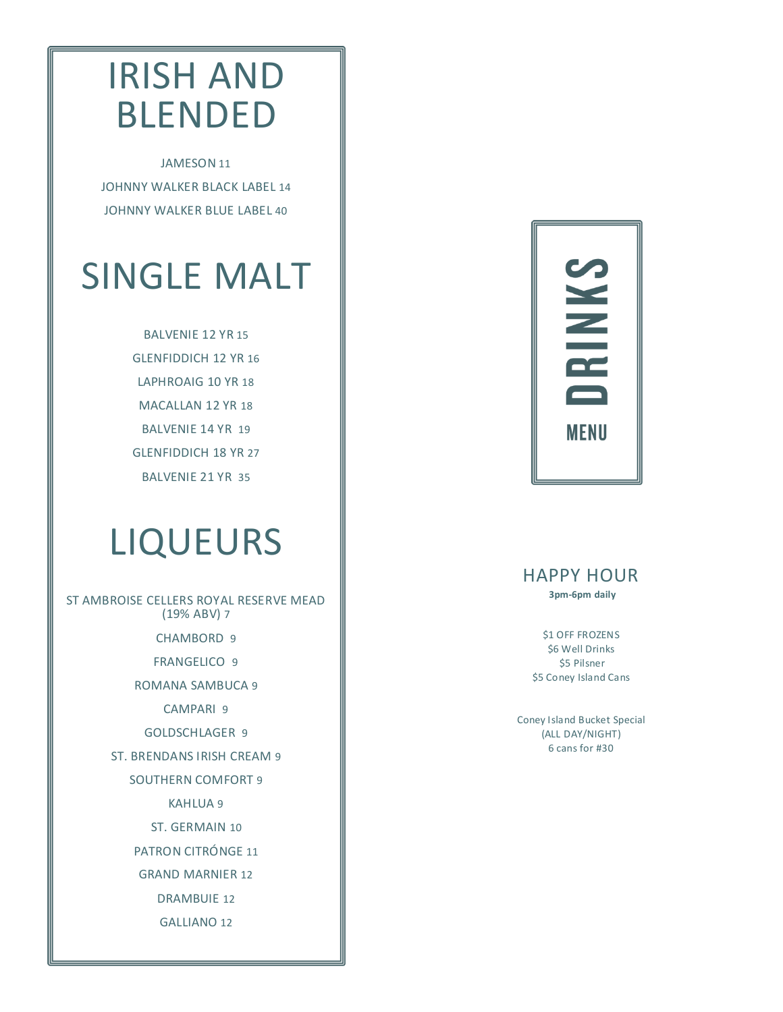### IRISH AND BLENDED

JAMESON 11 JOHNNY WALKER BLACK LABEL 14 JOHNNY WALKER BLUE LABEL 40

# SINGLE MALT

BALVENIE 12 YR 15 GLENFIDDICH 12 YR 16 LAPHROAIG 10 YR 18 MACALLAN 12 YR 18 BALVENIE 14 YR 19 GLENFIDDICH 18 YR 27 BALVENIE 21 YR 35

## LIQUEURS

ST AMBROISE CELLERS ROYAL RESERVE MEAD (19% ABV) 7 CHAMBORD 9 FRANGELICO 9 ROMANA SAMBUCA 9 CAMPARI 9 GOLDSCHLAGER 9 ST. BRENDANS IRISH CREAM 9 SOUTHERN COMFORT 9 KAHLUA 9 ST. GERMAIN 10 PATRON CITRÓNGE 11 GRAND MARNIER 12

DRAMBUIE 12

GALLIANO 12



### HAPPY HOUR

 **3pm-6pm daily** 

\$1 OFF FROZENS \$6 Well Drinks \$5 Pilsner \$5 Coney Island Cans

Coney Island Bucket Special (ALL DAY/NIGHT) 6 cans for #30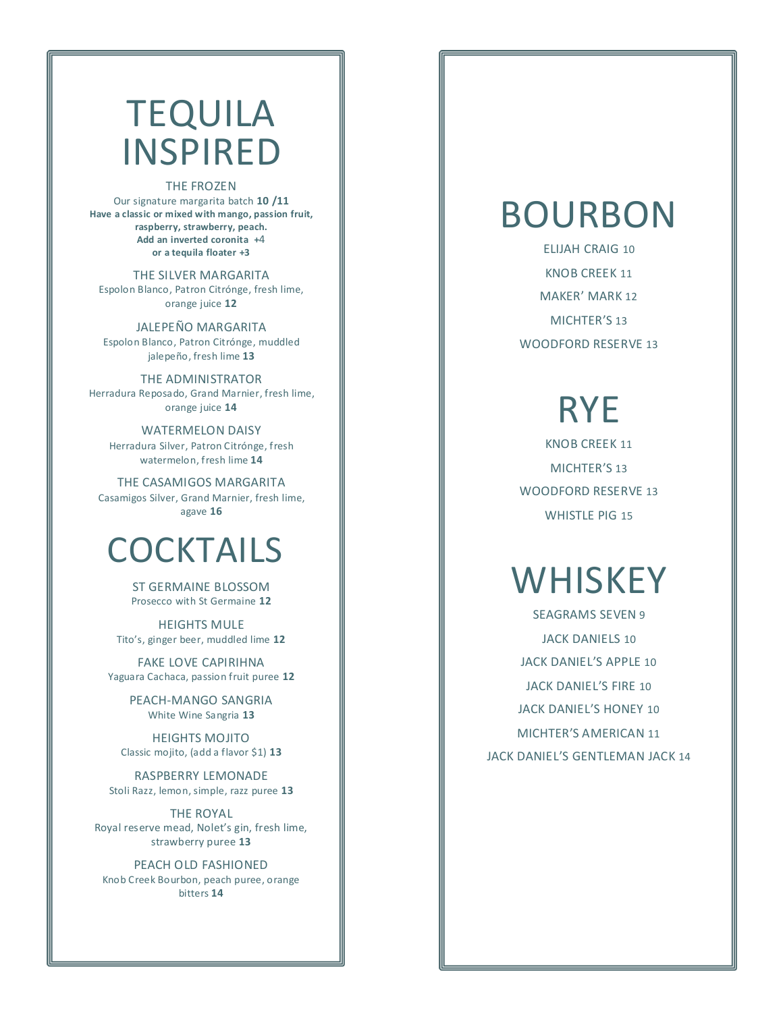### TEQUILA INSPIRED

#### THE FROZEN

Our signature margarita batch **10 /11 Have a classic or mixed with mango, passion fruit, raspberry, strawberry, peach. Add an inverted coronita +**4 **or a tequila floater +3**

THE SILVER MARGARITA Espolon Blanco, Patron Citrónge, fresh lime, orange juice **12**

JALEPEÑO MARGARITA Espolon Blanco, Patron Citrónge, muddled jalepeño, fresh lime **13**

THE ADMINISTRATOR Herradura Reposado, Grand Marnier, fresh lime, orange juice **14** 

WATERMELON DAISY Herradura Silver, Patron Citrónge, fresh watermelon, fresh lime **14** 

THE CASAMIGOS MARGARITA Casamigos Silver, Grand Marnier, fresh lime, agave **16** 

### **COCKTAILS**

ST GERMAINE BLOSSOM Prosecco with St Germaine **12**

HEIGHTS MULE Tito's, ginger beer, muddled lime **12**

FAKE LOVE CAPIRIHNA Yaguara Cachaca, passion fruit puree **12**

> PEACH-MANGO SANGRIA White Wine Sangria **13**

HEIGHTS MOJITO Classic mojito, (add a flavor \$1) **13**

RASPBERRY LEMONADE Stoli Razz, lemon, simple, razz puree **13**

THE ROYAL Royal reserve mead, Nolet's gin, fresh lime, strawberry puree **13**

PEACH OLD FASHIONED Knob Creek Bourbon, peach puree, orange bitters **14**

### BOURBON

ELIJAH CRAIG 10 KNOB CREEK 11 MAKER' MARK 12 MICHTER'S 13 WOODFORD RESERVE 13

## RYE

KNOB CREEK 11 MICHTER'S 13 WOODFORD RESERVE 13 WHISTLE PIG 15

## **WHISKEY**

SEAGRAMS SEVEN 9 JACK DANIELS 10 JACK DANIEL'S APPLE 10 JACK DANIEL'S FIRE 10 JACK DANIEL'S HONEY 10 MICHTER'S AMERICAN 11 JACK DANIEL'S GENTLEMAN JACK 14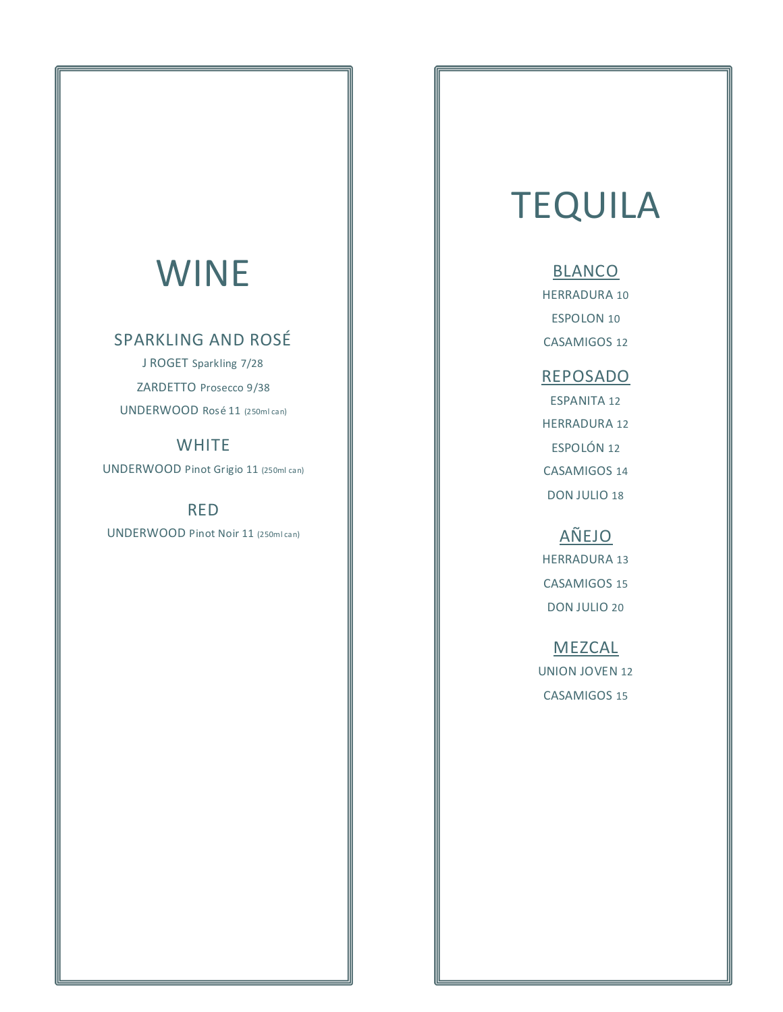### WINE

#### SPARKLING AND ROSÉ

J ROGET Sparkling 7/28 ZARDETTO Prosecco 9/38 UNDERWOOD Rosé 11 (250ml can)

#### **WHITE**

UNDERWOOD Pinot Grigio 11 (250ml can)

RED

UNDERWOOD Pinot Noir 11 (250ml can)

## **TEQUILA**

#### **BLANCO**

HERRADURA 10 ESPOLON 10 CASAMIGOS 12

#### REPOSADO

ESPANITA 12 HERRADURA 12 ESPOLÓN 12 CASAMIGOS 14 DON JULIO 18

### AÑEJO

HERRADURA 13 CASAMIGOS 15 DON JULIO 20

#### MEZCAL

UNION JOVEN 12 CASAMIGOS 15